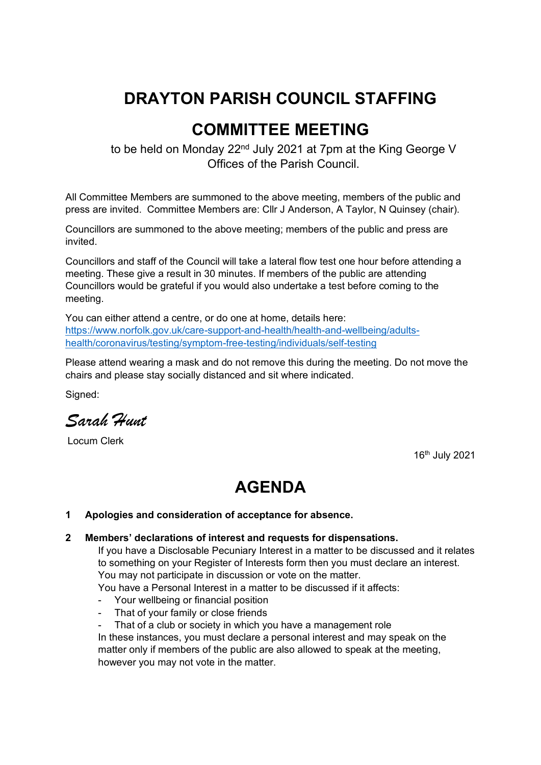# **DRAYTON PARISH COUNCIL STAFFING**

# **COMMITTEE MEETING**

to be held on Monday 22<sup>nd</sup> July 2021 at 7pm at the King George V Offices of the Parish Council.

All Committee Members are summoned to the above meeting, members of the public and press are invited. Committee Members are: Cllr J Anderson, A Taylor, N Quinsey (chair).

Councillors are summoned to the above meeting; members of the public and press are invited.

Councillors and staff of the Council will take a lateral flow test one hour before attending a meeting. These give a result in 30 minutes. If members of the public are attending Councillors would be grateful if you would also undertake a test before coming to the meeting.

You can either attend a centre, or do one at home, details here: [https://www.norfolk.gov.uk/care-support-and-health/health-and-wellbeing/adults](https://www.norfolk.gov.uk/care-support-and-health/health-and-wellbeing/adults-health/coronavirus/testing/symptom-free-testing/individuals/self-testing)[health/coronavirus/testing/symptom-free-testing/individuals/self-testing](https://www.norfolk.gov.uk/care-support-and-health/health-and-wellbeing/adults-health/coronavirus/testing/symptom-free-testing/individuals/self-testing)

Please attend wearing a mask and do not remove this during the meeting. Do not move the chairs and please stay socially distanced and sit where indicated.

Signed:

*Sarah Hunt* 

Locum Clerk

16th July 2021

## **AGENDA**

#### **1 Apologies and consideration of acceptance for absence.**

#### **2 Members' declarations of interest and requests for dispensations.**

If you have a Disclosable Pecuniary Interest in a matter to be discussed and it relates to something on your Register of Interests form then you must declare an interest. You may not participate in discussion or vote on the matter.

You have a Personal Interest in a matter to be discussed if it affects:

- Your wellbeing or financial position
- That of your family or close friends
- That of a club or society in which you have a management role

In these instances, you must declare a personal interest and may speak on the matter only if members of the public are also allowed to speak at the meeting, however you may not vote in the matter.